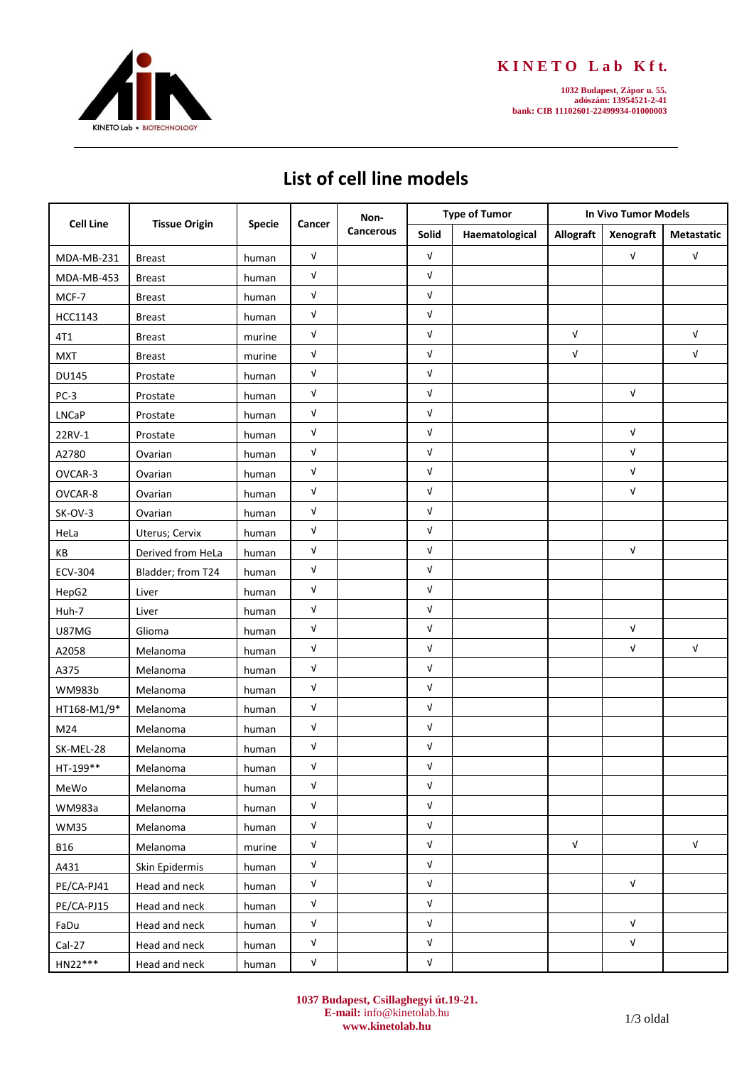

## **K I N E T O L a b K f t.**

**1032 Budapest, Zápor u. 55. adószám: 13954521-2-41 bank: CIB 11102601-22499934-01000003**

## **List of cell line models**

| <b>Cell Line</b> | <b>Tissue Origin</b> | <b>Specie</b> | Cancer       | Non-<br>Cancerous | <b>Type of Tumor</b>      |                | <b>In Vivo Tumor Models</b> |                           |              |
|------------------|----------------------|---------------|--------------|-------------------|---------------------------|----------------|-----------------------------|---------------------------|--------------|
|                  |                      |               |              |                   | Solid                     | Haematological | Allograft                   | Xenograft                 | Metastatic   |
| MDA-MB-231       | <b>Breast</b>        | human         | $\sqrt{ }$   |                   | $\sqrt{ }$                |                |                             | $\ensuremath{\mathsf{V}}$ | $\sqrt{ }$   |
| MDA-MB-453       | <b>Breast</b>        | human         | V            |                   | V                         |                |                             |                           |              |
| MCF-7            | <b>Breast</b>        | human         | V            |                   | $\sqrt{ }$                |                |                             |                           |              |
| HCC1143          | <b>Breast</b>        | human         | V            |                   | V                         |                |                             |                           |              |
| 4T1              | <b>Breast</b>        | murine        | V            |                   | $\sqrt{ }$                |                | $\sqrt{ }$                  |                           | V            |
| <b>MXT</b>       | <b>Breast</b>        | murine        | V            |                   | $\sqrt{ }$                |                | V                           |                           | V            |
| <b>DU145</b>     | Prostate             | human         | V            |                   | $\sqrt{ }$                |                |                             |                           |              |
| PC-3             | Prostate             | human         | V            |                   | V                         |                |                             | $\sqrt{ }$                |              |
| <b>LNCaP</b>     | Prostate             | human         | V            |                   | V                         |                |                             |                           |              |
| 22RV-1           | Prostate             | human         | V            |                   | V                         |                |                             | $\sqrt{ }$                |              |
| A2780            | Ovarian              | human         | V            |                   | V                         |                |                             | $\sqrt{ }$                |              |
| OVCAR-3          | Ovarian              | human         | V            |                   | $\sqrt{ }$                |                |                             | $\sqrt{ }$                |              |
| OVCAR-8          | Ovarian              | human         | V            |                   | V                         |                |                             | $\sqrt{ }$                |              |
| SK-OV-3          | Ovarian              | human         | V            |                   | $\sqrt{ }$                |                |                             |                           |              |
| HeLa             | Uterus; Cervix       | human         | V            |                   | $\sqrt{ }$                |                |                             |                           |              |
| КB               | Derived from HeLa    | human         | V            |                   | V                         |                |                             | $\sqrt{ }$                |              |
| <b>ECV-304</b>   | Bladder; from T24    | human         | V            |                   | V                         |                |                             |                           |              |
| HepG2            | Liver                | human         | V            |                   | V                         |                |                             |                           |              |
| Huh-7            | Liver                | human         | V            |                   | $\sqrt{ }$                |                |                             |                           |              |
| U87MG            | Glioma               | human         | V            |                   | $\sqrt{ }$                |                |                             | $\sqrt{ }$                |              |
| A2058            | Melanoma             | human         | V            |                   | V                         |                |                             | $\ensuremath{\mathsf{V}}$ | $\mathsf{V}$ |
| A375             | Melanoma             | human         | V            |                   | $\sqrt{ }$                |                |                             |                           |              |
| <b>WM983b</b>    | Melanoma             | human         | V            |                   | V                         |                |                             |                           |              |
| HT168-M1/9*      | Melanoma             | human         | V            |                   | V                         |                |                             |                           |              |
| M24              | Melanoma             | human         | V            |                   | V                         |                |                             |                           |              |
| SK-MEL-28        | Melanoma             | human         | V            |                   | $\sqrt{ }$                |                |                             |                           |              |
| HT-199**         | Melanoma             | human         | V            |                   | $\sqrt{ }$                |                |                             |                           |              |
| MeWo             | Melanoma             | human         | V            |                   | V                         |                |                             |                           |              |
| WM983a           | Melanoma             | human         | $\sqrt{ }$   |                   | $\sqrt{ }$                |                |                             |                           |              |
| <b>WM35</b>      | Melanoma             | human         | $\sqrt{ }$   |                   | $\sqrt{ }$                |                |                             |                           |              |
| <b>B16</b>       | Melanoma             | murine        | $\sqrt{ }$   |                   | $\sqrt{ }$                |                | $\sqrt{ }$                  |                           | $\sqrt{ }$   |
| A431             | Skin Epidermis       | human         | $\mathsf{V}$ |                   | $\ensuremath{\mathsf{V}}$ |                |                             |                           |              |
| PE/CA-PJ41       | Head and neck        | human         | ${\sf V}$    |                   | ${\sf V}$                 |                |                             | $\sqrt{ }$                |              |
| PE/CA-PJ15       | Head and neck        | human         | $\sqrt{ }$   |                   | $\mathsf{V}$              |                |                             |                           |              |
| FaDu             | Head and neck        | human         | V            |                   | $\ensuremath{\mathsf{V}}$ |                |                             | $\sqrt{ }$                |              |
| $Cal-27$         | Head and neck        | human         | $\sqrt{ }$   |                   | $\sqrt{ }$                |                |                             | $\sqrt{ }$                |              |
| HN22***          | Head and neck        | human         | $\sqrt{ }$   |                   | ${\sf V}$                 |                |                             |                           |              |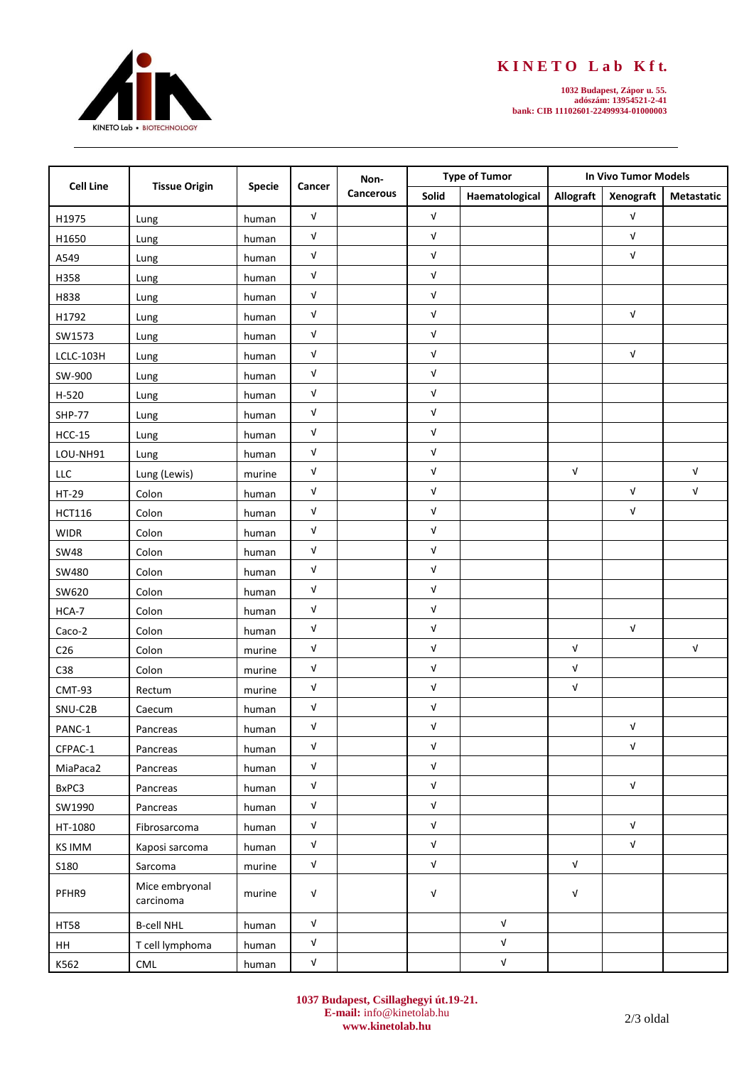

## **K I N E T O L a b K f t.**

**1032 Budapest, Zápor u. 55. adószám: 13954521-2-41 bank: CIB 11102601-22499934-01000003**

| <b>Cell Line</b>            | <b>Tissue Origin</b>        | Specie | Cancer                    | Non-<br>Cancerous | <b>Type of Tumor</b>      |                                  | <b>In Vivo Tumor Models</b> |                           |                   |
|-----------------------------|-----------------------------|--------|---------------------------|-------------------|---------------------------|----------------------------------|-----------------------------|---------------------------|-------------------|
|                             |                             |        |                           |                   | Solid                     | Haematological                   | Allograft                   | Xenograft                 | <b>Metastatic</b> |
| H1975                       | Lung                        | human  | $\sqrt{ }$                |                   | $\sqrt{ }$                |                                  |                             | $\sqrt{ }$                |                   |
| H1650                       | Lung                        | human  | $\sqrt{ }$                |                   | $\sqrt{ }$                |                                  |                             | $\sqrt{ }$                |                   |
| A549                        | Lung                        | human  | $\sqrt{ }$                |                   | $\sqrt{ }$                |                                  |                             | V                         |                   |
| H358                        | Lung                        | human  | $\sqrt{ }$                |                   | V                         |                                  |                             |                           |                   |
| H838                        | Lung                        | human  | $\sqrt{ }$                |                   | $\sqrt{ }$                |                                  |                             |                           |                   |
| H1792                       | Lung                        | human  | $\sqrt{ }$                |                   | $\sqrt{ }$                |                                  |                             | $\sqrt{ }$                |                   |
| SW1573                      | Lung                        | human  | $\sqrt{ }$                |                   | V                         |                                  |                             |                           |                   |
| LCLC-103H                   | Lung                        | human  | $\sqrt{ }$                |                   | $\sqrt{ }$                |                                  |                             | $\sqrt{ }$                |                   |
| SW-900                      | Lung                        | human  | $\sqrt{ }$                |                   | $\sqrt{ }$                |                                  |                             |                           |                   |
| $H-520$                     | Lung                        | human  | $\sqrt{ }$                |                   | $\sqrt{ }$                |                                  |                             |                           |                   |
| <b>SHP-77</b>               | Lung                        | human  | $\sqrt{ }$                |                   | $\sqrt{ }$                |                                  |                             |                           |                   |
| $HCC-15$                    | Lung                        | human  | $\sqrt{ }$                |                   | $\sqrt{ }$                |                                  |                             |                           |                   |
| LOU-NH91                    | Lung                        | human  | $\sqrt{ }$                |                   | $\sqrt{ }$                |                                  |                             |                           |                   |
| $\ensuremath{\mathsf{LLC}}$ | Lung (Lewis)                | murine | $\sqrt{ }$                |                   | $\sqrt{ }$                |                                  | $\mathsf{V}$                |                           | $\sqrt{ }$        |
| HT-29                       | Colon                       | human  | $\sqrt{ }$                |                   | $\sqrt{ }$                |                                  |                             | V                         | $\sqrt{ }$        |
| <b>HCT116</b>               | Colon                       | human  | $\sqrt{ }$                |                   | V                         |                                  |                             | V                         |                   |
| <b>WIDR</b>                 | Colon                       | human  | $\sqrt{ }$                |                   | $\sqrt{ }$                |                                  |                             |                           |                   |
| <b>SW48</b>                 | Colon                       | human  | $\sqrt{ }$                |                   | $\sqrt{ }$                |                                  |                             |                           |                   |
| SW480                       | Colon                       | human  | $\sqrt{ }$                |                   | V                         |                                  |                             |                           |                   |
| SW620                       | Colon                       | human  | $\sqrt{ }$                |                   | $\sqrt{ }$                |                                  |                             |                           |                   |
| HCA-7                       | Colon                       | human  | $\sqrt{ }$                |                   | $\sqrt{ }$                |                                  |                             |                           |                   |
| Caco-2                      | Colon                       | human  | $\sqrt{ }$                |                   | V                         |                                  |                             | V                         |                   |
| C <sub>26</sub>             | Colon                       | murine | $\sqrt{ }$                |                   | $\sqrt{ }$                |                                  | $\sqrt{ }$                  |                           | $\sqrt{ }$        |
| C38                         | Colon                       | murine | $\sqrt{ }$                |                   | $\sqrt{ }$                |                                  | $\sqrt{ }$                  |                           |                   |
| CMT-93                      | Rectum                      | murine | $\ensuremath{\mathsf{V}}$ |                   | $\sqrt{ }$                |                                  | $\mathsf{V}$                |                           |                   |
| SNU-C2B                     | Caecum                      | human  | $\sqrt{ }$                |                   | V                         |                                  |                             |                           |                   |
| PANC-1                      | Pancreas                    | human  | $\sqrt{ }$                |                   | $\sqrt{ }$                |                                  |                             | V                         |                   |
| CFPAC-1                     | Pancreas                    | human  | $\sqrt{ }$                |                   | $\sqrt{ }$                |                                  |                             | $\mathsf{V}$              |                   |
| MiaPaca2                    | Pancreas                    | human  | $\ensuremath{\mathsf{V}}$ |                   | $\sqrt{ }$                |                                  |                             |                           |                   |
| BxPC3                       | Pancreas                    | human  | $\ensuremath{\mathsf{V}}$ |                   | $\sqrt{ }$                |                                  |                             | $\sqrt{ }$                |                   |
| SW1990                      | Pancreas                    | human  | $\ensuremath{\mathsf{V}}$ |                   | $\ensuremath{\mathsf{V}}$ |                                  |                             |                           |                   |
| HT-1080                     | Fibrosarcoma                | human  | ${\sf V}$                 |                   | $\ensuremath{\mathsf{V}}$ |                                  |                             | $\ensuremath{\mathsf{V}}$ |                   |
| <b>KS IMM</b>               | Kaposi sarcoma              | human  | $\sqrt{ }$                |                   | $\ensuremath{\mathsf{V}}$ |                                  |                             | $\ensuremath{\mathsf{V}}$ |                   |
| <b>S180</b>                 | Sarcoma                     | murine | $\ensuremath{\mathsf{V}}$ |                   | $\ensuremath{\mathsf{V}}$ |                                  | ${\sf V}$                   |                           |                   |
| PFHR9                       | Mice embryonal<br>carcinoma | murine | $\sqrt{ }$                |                   | V                         |                                  | $\sqrt{ }$                  |                           |                   |
| <b>HT58</b>                 | <b>B-cell NHL</b>           | human  | $\ensuremath{\mathsf{V}}$ |                   |                           | $\ensuremath{\mathsf{v}}\xspace$ |                             |                           |                   |
| HH                          | T cell lymphoma             | human  | ${\sf V}$                 |                   |                           | ${\sf V}$                        |                             |                           |                   |
| K562                        | $\ensuremath{\mathsf{CML}}$ | human  | $\ensuremath{\mathsf{v}}$ |                   |                           | ${\sf V}$                        |                             |                           |                   |